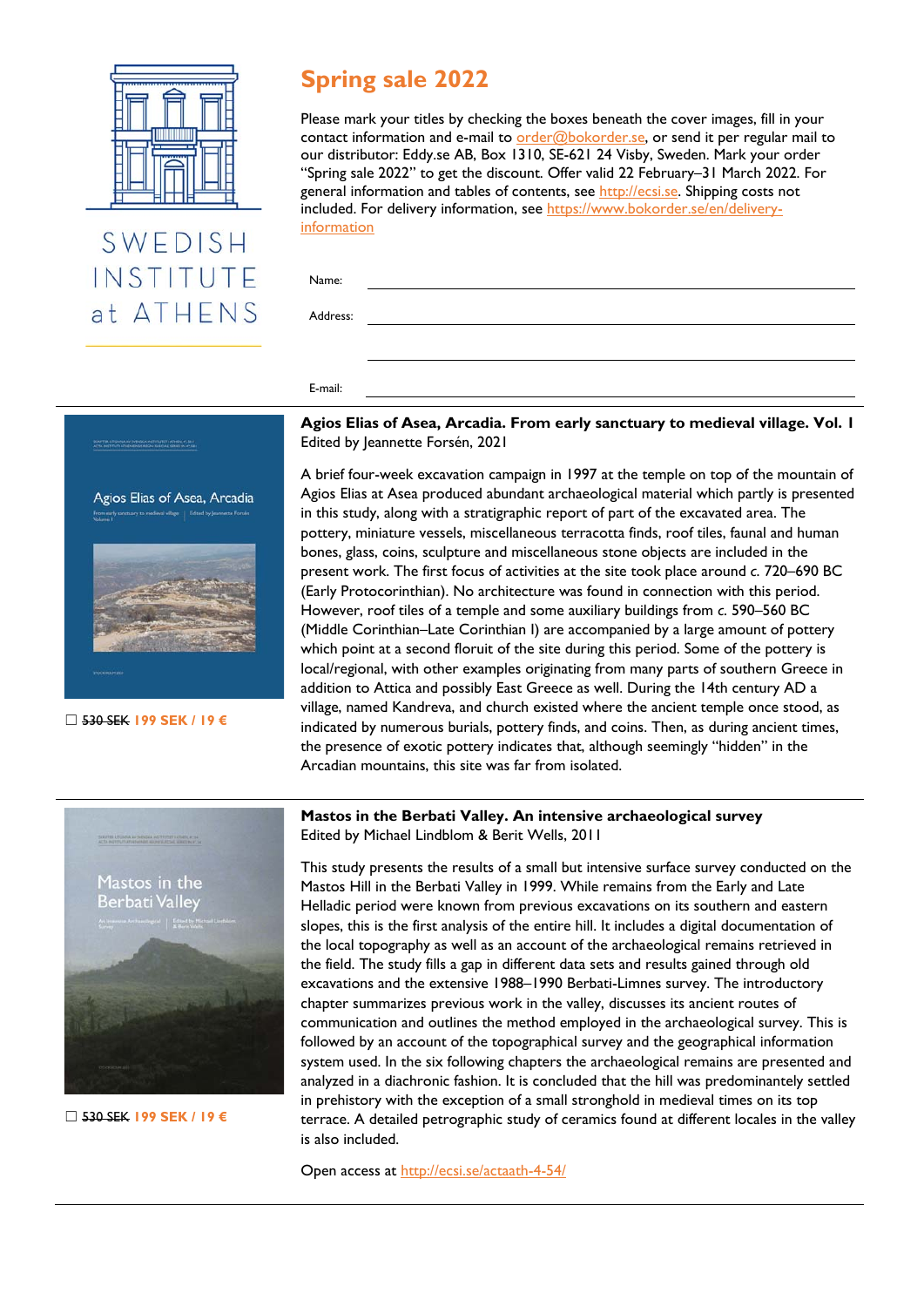

# SWEDISH INSTITUTE at ATHENS

# **Spring sale 2022**

Please mark your titles by checking the boxes beneath the cover images, fill in your contact information and e-mail to  $order@bokorder.se$ , or send it per regular mail to our distributor: Eddy.se AB, Box 1310, SE-621 24 Visby, Sweden. Mark your order "Spring sale 2022" to get the discount. Offer valid 22 February–31 March 2022. For general information and tables of contents, see [http://ecsi.se. Sh](http://ecsi.se)ipping costs not [included. For delivery information, see h](https://www.bokorder.se/en/delivery-information)[ttps://www.bokorder.se/en/de](https://www.bokorder.se/en/delivery-informationName:)[livery](https://www.bokorder.se/en/delivery-information)information

Name:

Address:

E-mail:



☐ 530 SEK **199 SEK / 19 €**

**Agios Elias of Asea, Arcadia. From early sanctuary to medieval village. Vol. 1**  Edited by Jeannette Forsén, 2021

A brief four-week excavation campaign in 1997 at the temple on top of the mountain of Agios Elias at Asea produced abundant archaeological material which partly is presented in this study, along with a stratigraphic report of part of the excavated area. The pottery, miniature vessels, miscellaneous terracotta finds, roof tiles, faunal and human bones, glass, coins, sculpture and miscellaneous stone objects are included in the present work. The first focus of activities at the site took place around *c*. 720–690 BC (Early Protocorinthian). No architecture was found in connection with this period. However, roof tiles of a temple and some auxiliary buildings from *c*. 590–560 BC (Middle Corinthian–Late Corinthian I) are accompanied by a large amount of pottery which point at a second floruit of the site during this period. Some of the pottery is local/regional, with other examples originating from many parts of southern Greece in addition to Attica and possibly East Greece as well. During the 14th century AD a village, named Kandreva, and church existed where the ancient temple once stood, as indicated by numerous burials, pottery finds, and coins. Then, as during ancient times, the presence of exotic pottery indicates that, although seemingly "hidden" in the Arcadian mountains, this site was far from isolated.



☐ 530 SEK **199 SEK / 19 €**

**Mastos in the Berbati Valley. An intensive archaeological survey**  Edited by Michael Lindblom & Berit Wells, 2011

This study presents the results of a small but intensive surface survey conducted on the Mastos Hill in the Berbati Valley in 1999. While remains from the Early and Late Helladic period were known from previous excavations on its southern and eastern slopes, this is the first analysis of the entire hill. It includes a digital documentation of the local topography as well as an account of the archaeological remains retrieved in the field. The study fills a gap in different data sets and results gained through old excavations and the extensive 1988–1990 Berbati-Limnes survey. The introductory chapter summarizes previous work in the valley, discusses its ancient routes of communication and outlines the method employed in the archaeological survey. This is followed by an account of the topographical survey and the geographical information system used. In the six following chapters the archaeological remains are presented and analyzed in a diachronic fashion. It is concluded that the hill was predominantely settled in prehistory with the exception of a small stronghold in medieval times on its top terrace. A detailed petrographic study of ceramics found at different locales in the valley is also included.

Open access at<http://ecsi.se/actaath-4-54/>